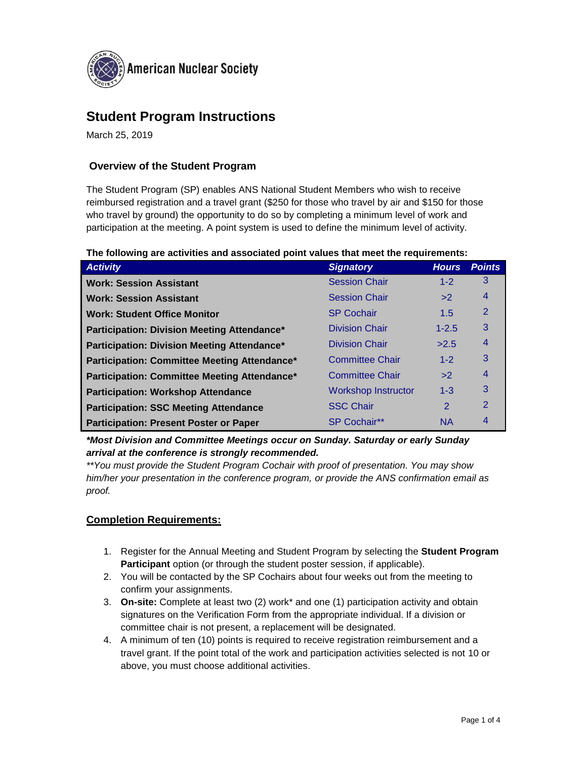

# **Student Program Instructions**

March 25, 2019

## **Overview of the Student Program**

The Student Program (SP) enables ANS National Student Members who wish to receive reimbursed registration and a travel grant (\$250 for those who travel by air and \$150 for those who travel by ground) the opportunity to do so by completing a minimum level of work and participation at the meeting. A point system is used to define the minimum level of activity.

| The following are activities and associated point values that meet the requirements: |
|--------------------------------------------------------------------------------------|
|--------------------------------------------------------------------------------------|

| <b>Activity</b>                               | <b>Signatory</b>           | <b>Hours</b>   | <b>Points</b>  |
|-----------------------------------------------|----------------------------|----------------|----------------|
| <b>Work: Session Assistant</b>                | <b>Session Chair</b>       | $1 - 2$        | 3              |
| <b>Work: Session Assistant</b>                | <b>Session Chair</b>       | >2             | 4              |
| <b>Work: Student Office Monitor</b>           | <b>SP Cochair</b>          | 1.5            | $\overline{2}$ |
| Participation: Division Meeting Attendance*   | <b>Division Chair</b>      | $1 - 2.5$      | 3              |
| Participation: Division Meeting Attendance*   | <b>Division Chair</b>      | >2.5           | 4              |
| Participation: Committee Meeting Attendance*  | <b>Committee Chair</b>     | $1 - 2$        | 3              |
| Participation: Committee Meeting Attendance*  | <b>Committee Chair</b>     | >2             | 4              |
| <b>Participation: Workshop Attendance</b>     | <b>Workshop Instructor</b> | $1 - 3$        | 3              |
| <b>Participation: SSC Meeting Attendance</b>  | <b>SSC Chair</b>           | $\overline{2}$ | $\mathcal{P}$  |
| <b>Participation: Present Poster or Paper</b> | SP Cochair**               | <b>NA</b>      | 4              |

*\*Most Division and Committee Meetings occur on Sunday. Saturday or early Sunday arrival at the conference is strongly recommended.*

*\*\*You must provide the Student Program Cochair with proof of presentation. You may show him/her your presentation in the conference program, or provide the ANS confirmation email as proof.*

### **Completion Requirements:**

- 1. Register for the Annual Meeting and Student Program by selecting the **Student Program Participant** option (or through the student poster session, if applicable).
- 2. You will be contacted by the SP Cochairs about four weeks out from the meeting to confirm your assignments.
- 3. **On-site:** Complete at least two (2) work\* and one (1) participation activity and obtain signatures on the Verification Form from the appropriate individual. If a division or committee chair is not present, a replacement will be designated.
- 4. A minimum of ten (10) points is required to receive registration reimbursement and a travel grant. If the point total of the work and participation activities selected is not 10 or above, you must choose additional activities.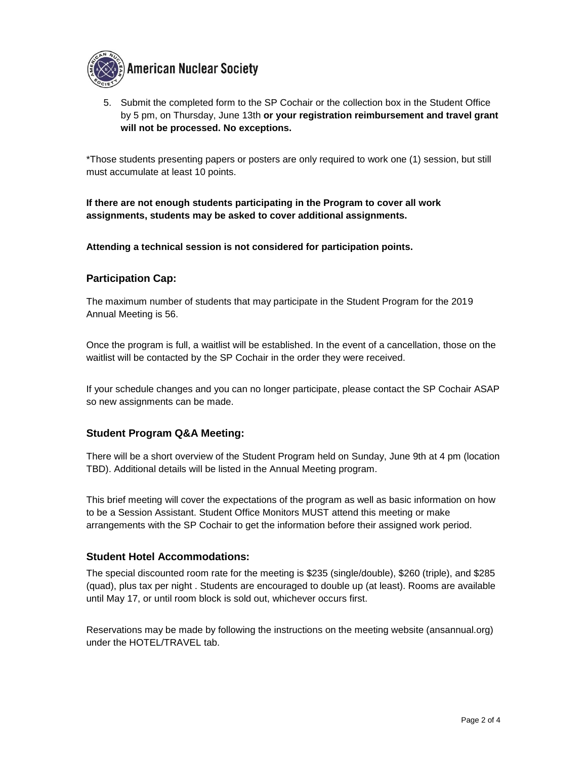

5. Submit the completed form to the SP Cochair or the collection box in the Student Office by 5 pm, on Thursday, June 13th **or your registration reimbursement and travel grant will not be processed. No exceptions.**

\*Those students presenting papers or posters are only required to work one (1) session, but still must accumulate at least 10 points.

**If there are not enough students participating in the Program to cover all work assignments, students may be asked to cover additional assignments.**

**Attending a technical session is not considered for participation points.**

### **Participation Cap:**

The maximum number of students that may participate in the Student Program for the 2019 Annual Meeting is 56.

Once the program is full, a waitlist will be established. In the event of a cancellation, those on the waitlist will be contacted by the SP Cochair in the order they were received.

If your schedule changes and you can no longer participate, please contact the SP Cochair ASAP so new assignments can be made.

### **Student Program Q&A Meeting:**

There will be a short overview of the Student Program held on Sunday, June 9th at 4 pm (location TBD). Additional details will be listed in the Annual Meeting program.

This brief meeting will cover the expectations of the program as well as basic information on how to be a Session Assistant. Student Office Monitors MUST attend this meeting or make arrangements with the SP Cochair to get the information before their assigned work period.

#### **Student Hotel Accommodations:**

The special discounted room rate for the meeting is \$235 (single/double), \$260 (triple), and \$285 (quad), plus tax per night . Students are encouraged to double up (at least). Rooms are available until May 17, or until room block is sold out, whichever occurs first.

Reservations may be made by following the instructions on the meeting website (ansannual.org) under the HOTEL/TRAVEL tab.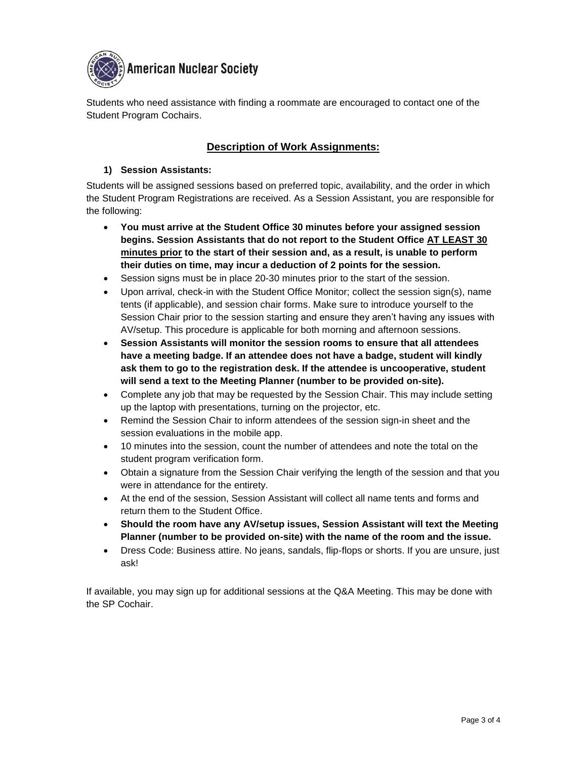

Students who need assistance with finding a roommate are encouraged to contact one of the Student Program Cochairs.

## **Description of Work Assignments:**

#### **1) Session Assistants:**

Students will be assigned sessions based on preferred topic, availability, and the order in which the Student Program Registrations are received. As a Session Assistant, you are responsible for the following:

- **You must arrive at the Student Office 30 minutes before your assigned session begins. Session Assistants that do not report to the Student Office AT LEAST 30 minutes prior to the start of their session and, as a result, is unable to perform their duties on time, may incur a deduction of 2 points for the session.**
- Session signs must be in place 20-30 minutes prior to the start of the session.
- Upon arrival, check-in with the Student Office Monitor; collect the session sign(s), name tents (if applicable), and session chair forms. Make sure to introduce yourself to the Session Chair prior to the session starting and ensure they aren't having any issues with AV/setup. This procedure is applicable for both morning and afternoon sessions.
- **Session Assistants will monitor the session rooms to ensure that all attendees have a meeting badge. If an attendee does not have a badge, student will kindly ask them to go to the registration desk. If the attendee is uncooperative, student will send a text to the Meeting Planner (number to be provided on-site).**
- Complete any job that may be requested by the Session Chair. This may include setting up the laptop with presentations, turning on the projector, etc.
- Remind the Session Chair to inform attendees of the session sign-in sheet and the session evaluations in the mobile app.
- 10 minutes into the session, count the number of attendees and note the total on the student program verification form.
- Obtain a signature from the Session Chair verifying the length of the session and that you were in attendance for the entirety.
- At the end of the session, Session Assistant will collect all name tents and forms and return them to the Student Office.
- **Should the room have any AV/setup issues, Session Assistant will text the Meeting Planner (number to be provided on-site) with the name of the room and the issue.**
- Dress Code: Business attire. No jeans, sandals, flip-flops or shorts. If you are unsure, just ask!

If available, you may sign up for additional sessions at the Q&A Meeting. This may be done with the SP Cochair.